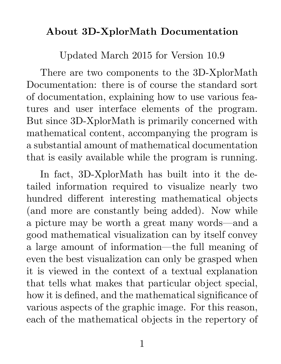## About 3D-XplorMath Documentation

Updated March 2015 for Version 10.9

There are two components to the 3D-XplorMath Documentation: there is of course the standard sort of documentation, explaining how to use various features and user interface elements of the program. But since 3D-XplorMath is primarily concerned with mathematical content, accompanying the program is a substantial amount of mathematical documentation that is easily available while the program is running.

In fact, 3D-XplorMath has built into it the detailed information required to visualize nearly two hundred different interesting mathematical objects (and more are constantly being added). Now while a picture may be worth a great many words—and a good mathematical visualization can by itself convey a large amount of information—the full meaning of even the best visualization can only be grasped when it is viewed in the context of a textual explanation that tells what makes that particular object special, how it is defined, and the mathematical significance of various aspects of the graphic image. For this reason, each of the mathematical objects in the repertory of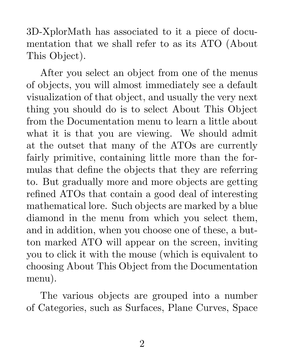3D-XplorMath has associated to it a piece of documentation that we shall refer to as its ATO (About This Object).

After you select an object from one of the menus of objects, you will almost immediately see a default visualization of that object, and usually the very next thing you should do is to select About This Object from the Documentation menu to learn a little about what it is that you are viewing. We should admit at the outset that many of the ATOs are currently fairly primitive, containing little more than the formulas that define the objects that they are referring to. But gradually more and more objects are getting refined ATOs that contain a good deal of interesting mathematical lore. Such objects are marked by a blue diamond in the menu from which you select them, and in addition, when you choose one of these, a button marked ATO will appear on the screen, inviting you to click it with the mouse (which is equivalent to choosing About This Object from the Documentation menu).

The various objects are grouped into a number of Categories, such as Surfaces, Plane Curves, Space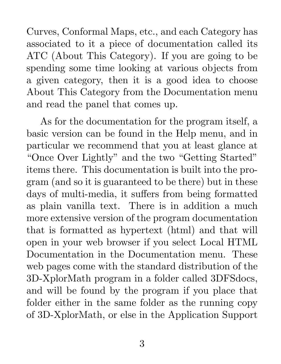Curves, Conformal Maps, etc., and each Category has associated to it a piece of documentation called its ATC (About This Category). If you are going to be spending some time looking at various objects from a given category, then it is a good idea to choose About This Category from the Documentation menu and read the panel that comes up.

As for the documentation for the program itself, a basic version can be found in the Help menu, and in particular we recommend that you at least glance at "Once Over Lightly" and the two "Getting Started" items there. This documentation is built into the program (and so it is guaranteed to be there) but in these days of multi-media, it suffers from being formatted as plain vanilla text. There is in addition a much more extensive version of the program documentation that is formatted as hypertext (html) and that will open in your web browser if you select Local HTML Documentation in the Documentation menu. These web pages come with the standard distribution of the 3D-XplorMath program in a folder called 3DFSdocs, and will be found by the program if you place that folder either in the same folder as the running copy of 3D-XplorMath, or else in the Application Support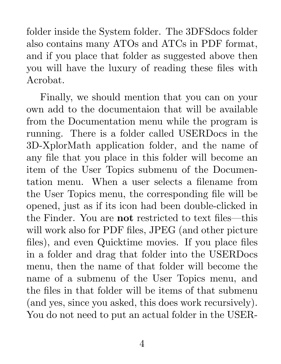folder inside the System folder. The 3DFSdocs folder also contains many ATOs and ATCs in PDF format, and if you place that folder as suggested above then you will have the luxury of reading these files with Acrobat.

Finally, we should mention that you can on your own add to the documentaion that will be available from the Documentation menu while the program is running. There is a folder called USERDocs in the 3D-XplorMath application folder, and the name of any file that you place in this folder will become an item of the User Topics submenu of the Documentation menu. When a user selects a filename from the User Topics menu, the corresponding file will be opened, just as if its icon had been double-clicked in the Finder. You are not restricted to text files—this will work also for PDF files, JPEG (and other picture files), and even Quicktime movies. If you place files in a folder and drag that folder into the USERDocs menu, then the name of that folder will become the name of a submenu of the User Topics menu, and the files in that folder will be items of that submenu (and yes, since you asked, this does work recursively). You do not need to put an actual folder in the USER-